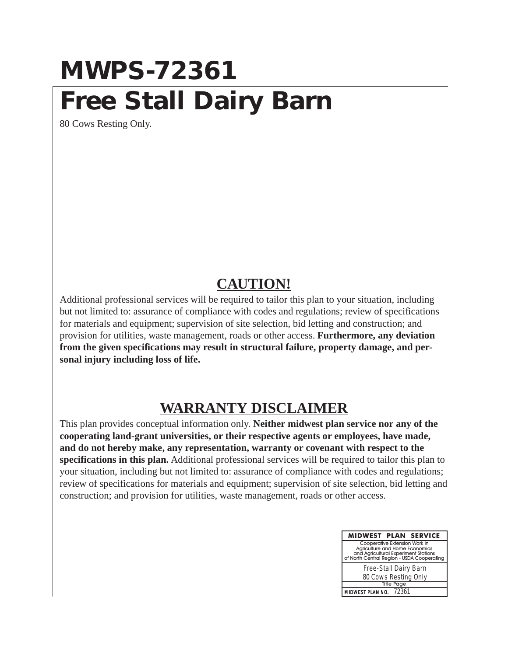## **MWPS-72361 Free Stall Dairy Barn**

80 Cows Resting Only.

## **CAUTION!**

Additional professional services will be required to tailor this plan to your situation, including but not limited to: assurance of compliance with codes and regulations; review of specifications for materials and equipment; supervision of site selection, bid letting and construction; and provision for utilities, waste management, roads or other access. **Furthermore, any deviation from the given specifications may result in structural failure, property damage, and personal injury including loss of life.**

## **WARRANTY DISCLAIMER**

This plan provides conceptual information only. **Neither midwest plan service nor any of the cooperating land-grant universities, or their respective agents or employees, have made, and do not hereby make, any representation, warranty or covenant with respect to the specifications in this plan.** Additional professional services will be required to tailor this plan to your situation, including but not limited to: assurance of compliance with codes and regulations; review of specifications for materials and equipment; supervision of site selection, bid letting and construction; and provision for utilities, waste management, roads or other access.

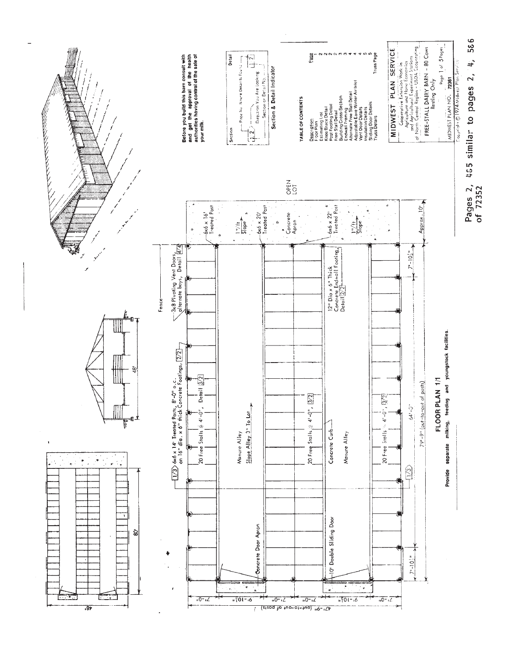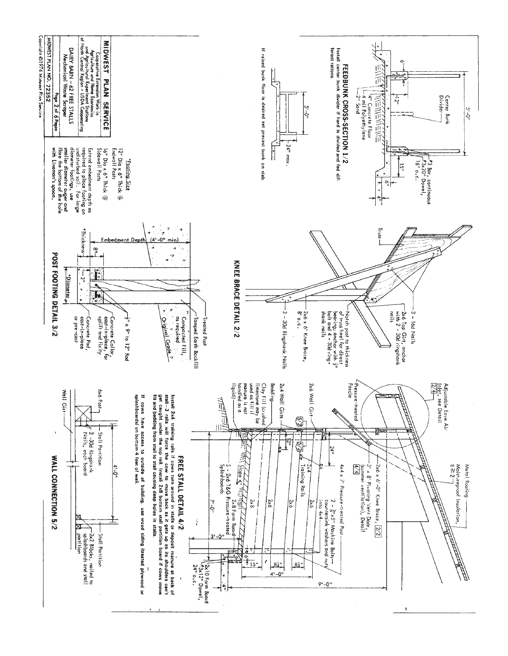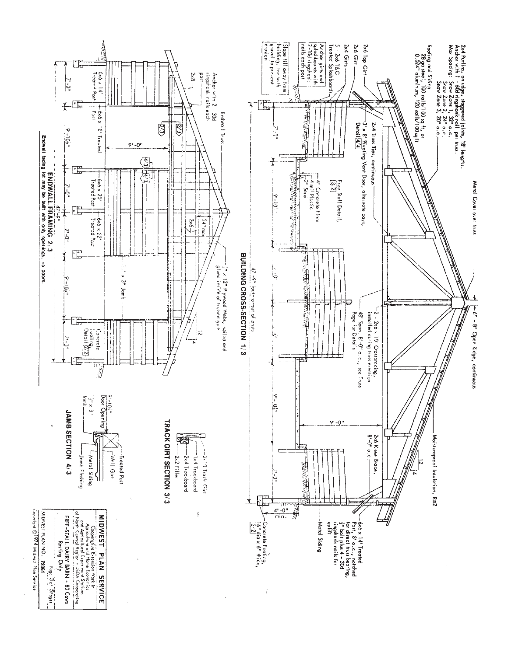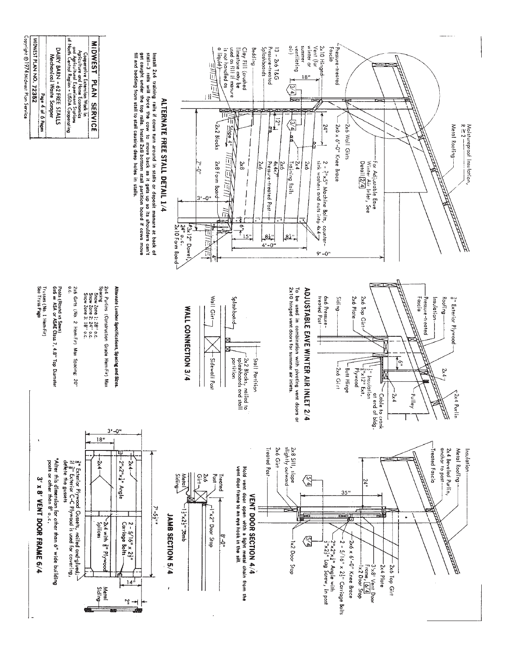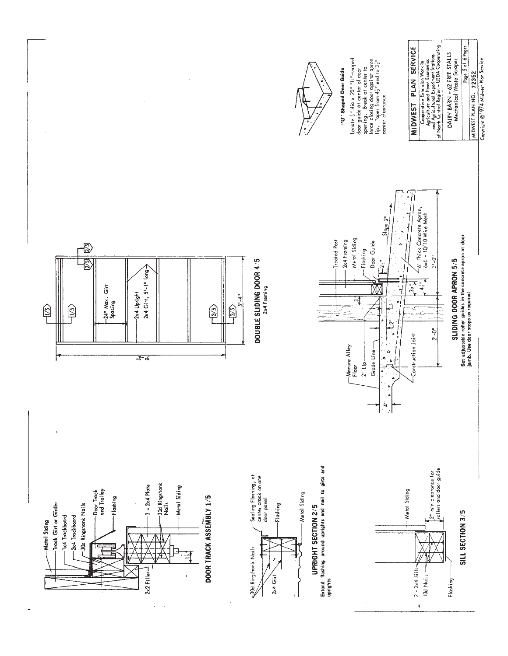